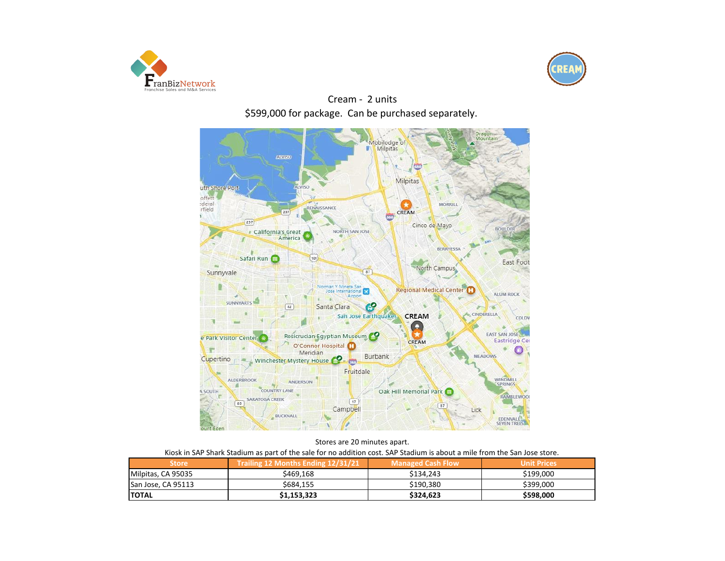



Cream - 2 units \$599,000 for package. Can be purchased separately.



|  |  |  | Stores are 20 minutes apart.                                                                          |  |  |
|--|--|--|-------------------------------------------------------------------------------------------------------|--|--|
|  |  |  | المستمرك والمسرور المروام والمستاوطات فالموارد والمتار والمستواة والمستواة والمستواة كالمستور ومريناه |  |  |

| Kiosk in SAP Shark Stadium as part of the sale for no addition cost. SAP Stadium is about a mile from the San Jose store. |  |
|---------------------------------------------------------------------------------------------------------------------------|--|
|                                                                                                                           |  |

| <b>Store</b>       | Trailing 12 Months Ending 12/31/21 | Managed Cash Flow | Unit Prices |
|--------------------|------------------------------------|-------------------|-------------|
| Milpitas, CA 95035 | \$469.168                          | \$134.243         | \$199,000   |
| San Jose, CA 95113 | \$684.155                          | \$190.380         | \$399,000   |
| <b>ITOTAL</b>      | \$1,153,323                        | \$324.623         | \$598,000   |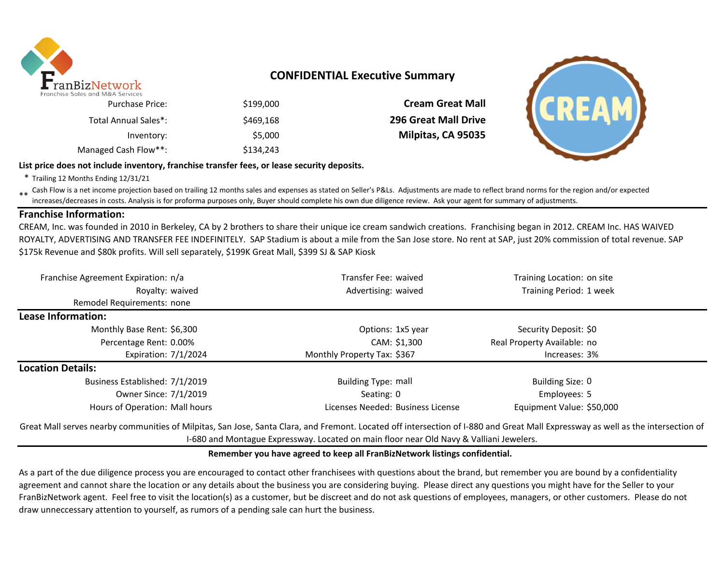

## **CONFIDENTIAL Executive Summary**

| <b>Purchase Price:</b> | \$199,000 |
|------------------------|-----------|
| Total Annual Sales*:   | \$469,168 |
| Inventory:             | \$5,000   |
| Managed Cash Flow**:   | \$134.243 |

**Cream Great Mall 296 Great Mall Drive Milpitas, CA 95035** 



**List price does not include inventory, franchise transfer fees, or lease security deposits.**

\* Trailing 12 Months Ending 12/31/21

\*\* Cash Flow is a net income projection based on trailing 12 months sales and expenses as stated on Seller's P&Ls. Adjustments are made to reflect brand norms for the region and/or expected in costs. Analysis is for profor increases/decreases in costs. Analysis is for proforma purposes only, Buyer should complete his own due diligence review. Ask your agent for summary of adjustments.

### **Franchise Information:**

CREAM, Inc. was founded in 2010 in Berkeley, CA by 2 brothers to share their unique ice cream sandwich creations. Franchising began in 2012. CREAM Inc. HAS WAIVED ROYALTY, ADVERTISING AND TRANSFER FEE INDEFINITELY. SAP Stadium is about a mile from the San Jose store. No rent at SAP, just 20% commission of total revenue. SAP \$175k Revenue and \$80k profits. Will sell separately, \$199K Great Mall, \$399 SJ & SAP Kiosk

| Franchise Agreement Expiration: n/a | Transfer Fee: waived              | Training Location: on site  |  |
|-------------------------------------|-----------------------------------|-----------------------------|--|
| Royalty: waived                     | Advertising: waived               | Training Period: 1 week     |  |
| Remodel Requirements: none          |                                   |                             |  |
| Lease Information:                  |                                   |                             |  |
| Monthly Base Rent: \$6,300          | Options: 1x5 year                 | Security Deposit: \$0       |  |
| Percentage Rent: 0.00%              | CAM: \$1,300                      | Real Property Available: no |  |
| Expiration: 7/1/2024                | Monthly Property Tax: \$367       | Increases: 3%               |  |
| <b>Location Details:</b>            |                                   |                             |  |
| Business Established: 7/1/2019      | <b>Building Type: mall</b>        | Building Size: 0            |  |
| Owner Since: 7/1/2019               | Seating: 0                        | Employees: 5                |  |
| Hours of Operation: Mall hours      | Licenses Needed: Business License | Equipment Value: \$50,000   |  |

Great Mall serves nearby communities of Milpitas, San Jose, Santa Clara, and Fremont. Located off intersection of I-880 and Great Mall Expressway as well as the intersection of I-680 and Montague Expressway. Located on main floor near Old Navy & Valliani Jewelers.

### **Remember you have agreed to keep all FranBizNetwork listings confidential.**

As a part of the due diligence process you are encouraged to contact other franchisees with questions about the brand, but remember you are bound by a confidentiality agreement and cannot share the location or any details about the business you are considering buying. Please direct any questions you might have for the Seller to your FranBizNetwork agent. Feel free to visit the location(s) as a customer, but be discreet and do not ask questions of employees, managers, or other customers. Please do not draw unneccessary attention to yourself, as rumors of a pending sale can hurt the business.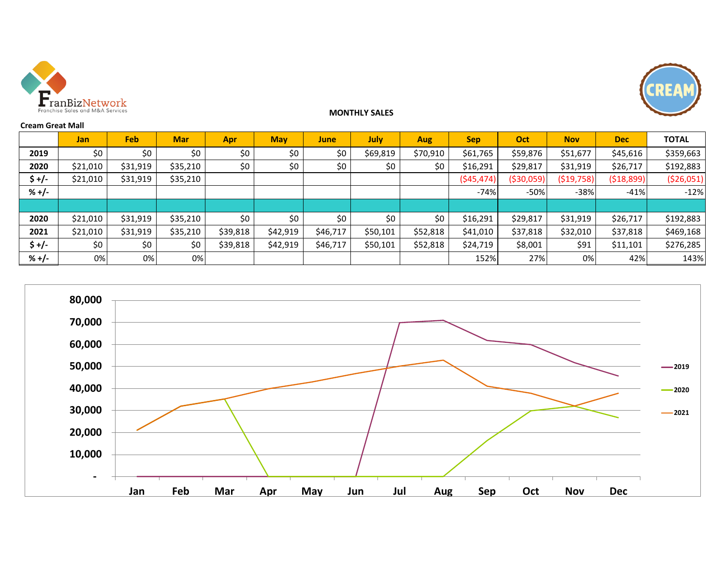



### **MONTHLY SALES**

#### **Cream Great Mall**

|         | <b>Jan</b> | Feb      | <b>Mar</b> | Apr      | <b>May</b> | <b>June</b> | July     | <b>Aug</b> | <b>Sep</b> | Oct        | <b>Nov</b>  | <b>Dec</b>  | <b>TOTAL</b> |
|---------|------------|----------|------------|----------|------------|-------------|----------|------------|------------|------------|-------------|-------------|--------------|
| 2019    | \$0        | \$0      | \$0        | \$0      | \$0        | \$0         | \$69,819 | \$70,910   | \$61,765   | \$59,876   | \$51,677    | \$45,616    | \$359,663    |
| 2020    | \$21,010   | \$31,919 | \$35,210   | \$0      | \$0\$      | \$0         | \$0      | \$0        | \$16,291   | \$29,817   | \$31,919    | \$26,717    | \$192,883    |
| $$+/-$  | \$21,010   | \$31,919 | \$35,210   |          |            |             |          |            | (545, 474) | (\$30,059) | ( \$19,758) | ( \$18,899] | ( \$26,051)  |
| $% +/-$ |            |          |            |          |            |             |          |            | $-74%$     | $-50%$     | $-38%$      | $-41%$      | $-12%$       |
|         |            |          |            |          |            |             |          |            |            |            |             |             |              |
| 2020    | \$21,010   | \$31,919 | \$35,210   | \$0      | \$0        | \$0         | \$0      | \$0        | \$16,291   | \$29,817   | \$31,919    | \$26,717    | \$192,883    |
| 2021    | \$21,010   | \$31,919 | \$35,210   | \$39,818 | \$42,919   | \$46,717    | \$50,101 | \$52,818   | \$41,010   | \$37,818   | \$32,010    | \$37,818    | \$469,168    |
| $$+/-$  | \$0\$      | \$0      | \$0        | \$39,818 | \$42,919   | \$46,717    | \$50,101 | \$52,818   | \$24,719   | \$8,001    | \$91        | \$11,101    | \$276,285    |
| $% +/-$ | 0%         | 0%       | 0%         |          |            |             |          |            | 152%       | 27%        | 0%          | 42%         | 143%         |

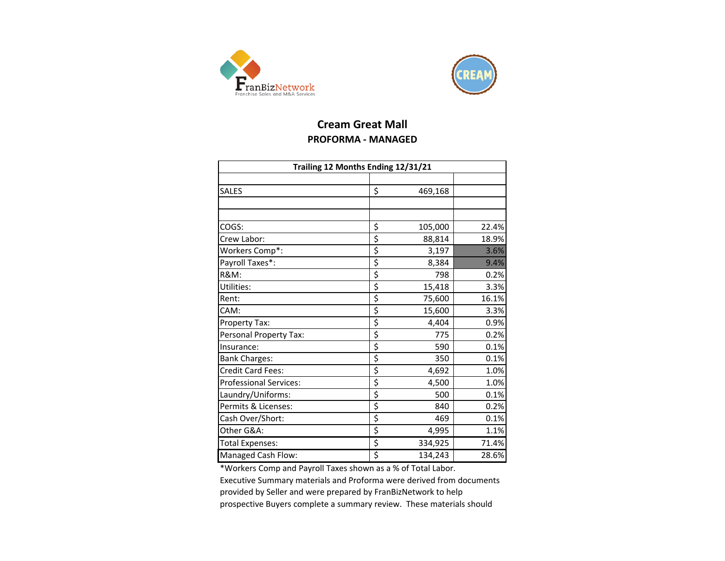



# **Cream Great Mall PROFORMA - MANAGED**

| Trailing 12 Months Ending 12/31/21 |    |         |       |  |  |  |  |  |
|------------------------------------|----|---------|-------|--|--|--|--|--|
|                                    |    |         |       |  |  |  |  |  |
| <b>SALES</b>                       | \$ | 469,168 |       |  |  |  |  |  |
|                                    |    |         |       |  |  |  |  |  |
|                                    |    |         |       |  |  |  |  |  |
| COGS:                              | \$ | 105,000 | 22.4% |  |  |  |  |  |
| Crew Labor:                        | \$ | 88,814  | 18.9% |  |  |  |  |  |
| Workers Comp*:                     | \$ | 3,197   | 3.6%  |  |  |  |  |  |
| Payroll Taxes*:                    | \$ | 8,384   | 9.4%  |  |  |  |  |  |
| <b>R&amp;M:</b>                    | \$ | 798     | 0.2%  |  |  |  |  |  |
| Utilities:                         | \$ | 15,418  | 3.3%  |  |  |  |  |  |
| Rent:                              | \$ | 75,600  | 16.1% |  |  |  |  |  |
| CAM:                               | \$ | 15,600  | 3.3%  |  |  |  |  |  |
| Property Tax:                      | \$ | 4,404   | 0.9%  |  |  |  |  |  |
| Personal Property Tax:             | \$ | 775     | 0.2%  |  |  |  |  |  |
| Insurance:                         | \$ | 590     | 0.1%  |  |  |  |  |  |
| <b>Bank Charges:</b>               | \$ | 350     | 0.1%  |  |  |  |  |  |
| Credit Card Fees:                  | \$ | 4,692   | 1.0%  |  |  |  |  |  |
| Professional Services:             | \$ | 4,500   | 1.0%  |  |  |  |  |  |
| Laundry/Uniforms:                  | \$ | 500     | 0.1%  |  |  |  |  |  |
| Permits & Licenses:                | \$ | 840     | 0.2%  |  |  |  |  |  |
| Cash Over/Short:                   | \$ | 469     | 0.1%  |  |  |  |  |  |
| Other G&A:                         | \$ | 4,995   | 1.1%  |  |  |  |  |  |
| Total Expenses:                    | \$ | 334,925 | 71.4% |  |  |  |  |  |
| Managed Cash Flow:                 | \$ | 134,243 | 28.6% |  |  |  |  |  |

\*Workers Comp and Payroll Taxes shown as a % of Total Labor.

Executive Summary materials and Proforma were derived from documents provided by Seller and were prepared by FranBizNetwork to help prospective Buyers complete a summary review. These materials should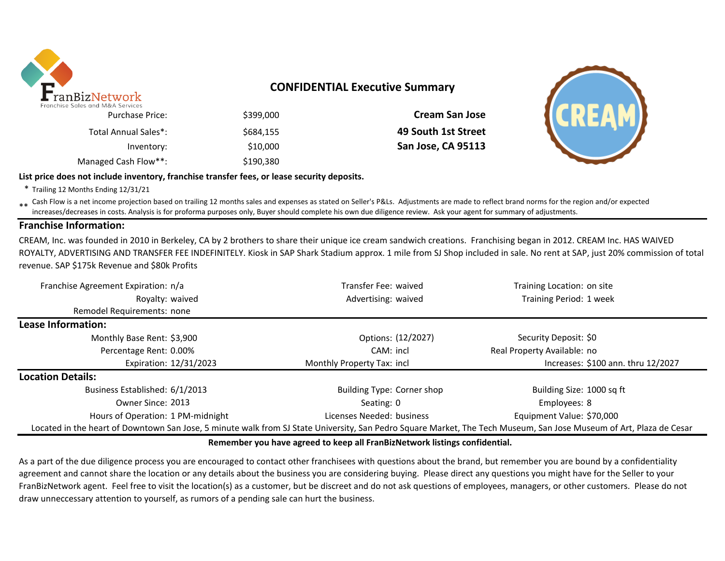

## **CONFIDENTIAL Executive Summary**

| \$399,000 | Purchase Price:      |
|-----------|----------------------|
| \$684.155 | Total Annual Sales*: |
| \$10,000  | Inventory:           |
| \$190,380 | Managed Cash Flow**: |

\$399,000 **Cream San Jose** \$684,155 **49 South 1st Street** Inventory: \$10,000 **San Jose, CA 95113**



#### **List price does not include inventory, franchise transfer fees, or lease security deposits.**

\* Trailing 12 Months Ending 12/31/21

\*\* Cash Flow is a net income projection based on trailing 12 months sales and expenses as stated on Seller's P&Ls. Adjustments are made to reflect brand norms for the region and/or expected in costs. Analysis is for profor increases/decreases in costs. Analysis is for proforma purposes only, Buyer should complete his own due diligence review. Ask your agent for summary of adjustments.

### **Franchise Information:**

CREAM, Inc. was founded in 2010 in Berkeley, CA by 2 brothers to share their unique ice cream sandwich creations. Franchising began in 2012. CREAM Inc. HAS WAIVED ROYALTY, ADVERTISING AND TRANSFER FEE INDEFINITELY. Kiosk in SAP Shark Stadium approx. 1 mile from SJ Shop included in sale. No rent at SAP, just 20% commission of total revenue. SAP \$175k Revenue and \$80k Profits

| Franchise Agreement Expiration: n/a                                                                                                                                 | Transfer Fee: waived              | Training Location: on site         |
|---------------------------------------------------------------------------------------------------------------------------------------------------------------------|-----------------------------------|------------------------------------|
| Royalty: waived                                                                                                                                                     | Advertising: waived               | Training Period: 1 week            |
| Remodel Requirements: none                                                                                                                                          |                                   |                                    |
| Lease Information:                                                                                                                                                  |                                   |                                    |
| Monthly Base Rent: \$3,900                                                                                                                                          | Options: (12/2027)                | Security Deposit: \$0              |
| Percentage Rent: 0.00%                                                                                                                                              | CAM: incl                         | Real Property Available: no        |
| Expiration: 12/31/2023                                                                                                                                              | Monthly Property Tax: incl        | Increases: \$100 ann. thru 12/2027 |
| <b>Location Details:</b>                                                                                                                                            |                                   |                                    |
| Business Established: 6/1/2013                                                                                                                                      | <b>Building Type: Corner shop</b> | Building Size: 1000 sq ft          |
| Owner Since: 2013                                                                                                                                                   | Seating: 0                        | Employees: 8                       |
| Hours of Operation: 1 PM-midnight                                                                                                                                   | Licenses Needed: business         | Equipment Value: \$70,000          |
| Located in the heart of Downtown San Jose, 5 minute walk from SJ State University, San Pedro Square Market, The Tech Museum, San Jose Museum of Art, Plaza de Cesar |                                   |                                    |

### **Remember you have agreed to keep all FranBizNetwork listings confidential.**

As a part of the due diligence process you are encouraged to contact other franchisees with questions about the brand, but remember you are bound by a confidentiality agreement and cannot share the location or any details about the business you are considering buying. Please direct any questions you might have for the Seller to your FranBizNetwork agent. Feel free to visit the location(s) as a customer, but be discreet and do not ask questions of employees, managers, or other customers. Please do not draw unneccessary attention to yourself, as rumors of a pending sale can hurt the business.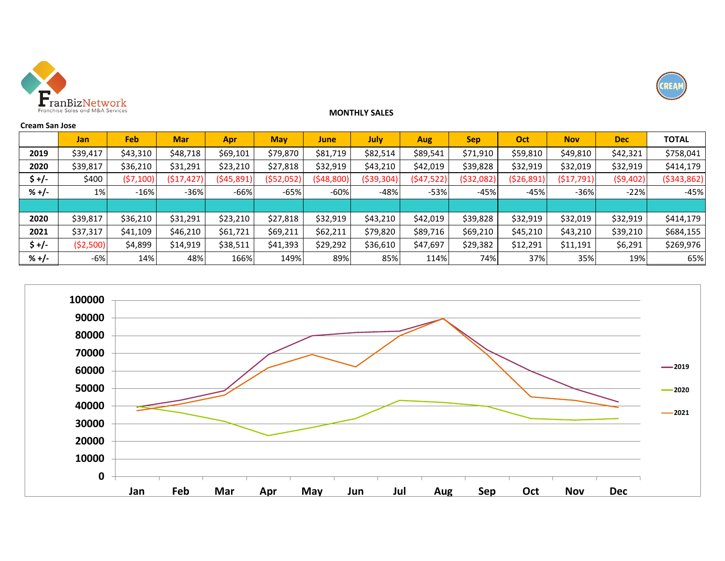



#### **MONTHLY SALES**

| <b>Cream San Jose</b> |            |           |            |             |             |           |              |            |            |            |            |            |               |
|-----------------------|------------|-----------|------------|-------------|-------------|-----------|--------------|------------|------------|------------|------------|------------|---------------|
|                       | <b>Jan</b> | Feb       | <b>Mar</b> | Apr         | <b>May</b>  | June      | July         | <b>Aug</b> | <b>Sep</b> | Oct        | <b>Nov</b> | <b>Dec</b> | <b>TOTAL</b>  |
| 2019                  | \$39,417   | \$43,310  | \$48,718   | \$69,101    | \$79,870    | \$81,719  | \$82,514     | \$89,541   | \$71,910   | \$59,810   | \$49,810   | \$42,321   | \$758,041     |
| 2020                  | \$39,817   | \$36,210  | \$31,291   | \$23,210    | \$27,818    | \$32,919  | \$43,210     | \$42,019   | \$39,828   | \$32,919   | \$32,019   | \$32,919   | \$414,179     |
| \$+/-                 | \$400      | (57, 100) | (517, 427) | ( \$45,891) | ( \$52,052) | (548,800) | ( \$39, 304) | (547, 522) | (\$32,082) | (\$26,891) | (517, 791) | (59,402)   | ( \$343, 862) |
| $% +/-$               | $1\%$      | $-16%$    | $-36%$     | $-66%$      | $-65%$      | $-60%$    | $-48%$       | $-53%$     | $-45%$     | $-45%$     | $-36%$     | $-22%$     | $-45%$        |
|                       |            |           |            |             |             |           |              |            |            |            |            |            |               |
| 2020                  | \$39,817   | \$36,210  | \$31,291   | \$23,210    | \$27,818    | \$32,919  | \$43,210     | \$42,019   | \$39,828   | \$32,919   | \$32,019   | \$32,919   | \$414,179     |
| 2021                  | \$37,317   | \$41,109  | \$46,210   | \$61,721    | \$69,211    | \$62,211  | \$79,820     | \$89,716   | \$69,210   | \$45,210   | \$43,210   | \$39,210   | \$684,155     |
| \$+/-                 | ( \$2,500) | \$4,899   | \$14,919   | \$38,511    | \$41,393    | \$29,292  | \$36,610     | \$47,697   | \$29,382   | \$12,291   | \$11,191   | \$6,291    | \$269,976     |
| $% +/-$               | -6%        | 14%       | 48%        | 166%        | 149%        | 89%       | 85%          | 114%       | 74%        | 37%        | 35%        | 19%        | 65%           |